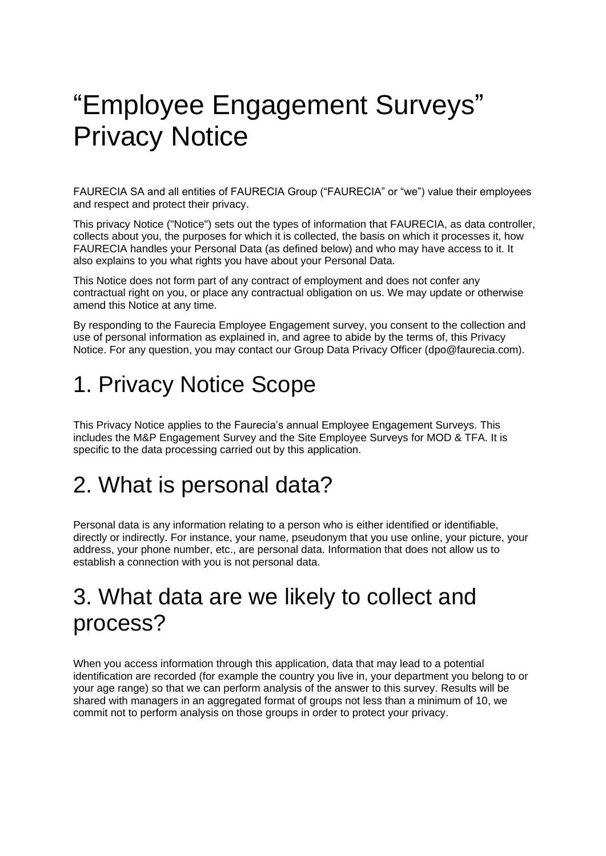# "Employee Engagement Surveys" Privacy Notice

FAURECIA SA and all entities of FAURECIA Group ("FAURECIA" or "we") value their employees and respect and protect their privacy.

This privacy Notice ("Notice") sets out the types of information that FAURECIA, as data controller, collects about you, the purposes for which it is collected, the basis on which it processes it, how FAURECIA handles your Personal Data (as defined below) and who may have access to it. It also explains to you what rights you have about your Personal Data.

This Notice does not form part of any contract of employment and does not confer any contractual right on you, or place any contractual obligation on us. We may update or otherwise amend this Notice at any time.

By responding to the Faurecia Employee Engagement survey, you consent to the collection and use of personal information as explained in, and agree to abide by the terms of, this Privacy Notice. For any question, you may contact our Group Data Privacy Officer [\(dpo@faurecia.com\)](mailto:dpo@faurecia.com).

# 1. Privacy Notice Scope

This Privacy Notice applies to the Faurecia's annual Employee Engagement Surveys. This includes the M&P Engagement Survey and the Site Employee Surveys for MOD & TFA. It is specific to the data processing carried out by this application.

# 2. What is personal data?

Personal data is any information relating to a person who is either identified or identifiable, directly or indirectly. For instance, your name, pseudonym that you use online, your picture, your address, your phone number, etc., are personal data. Information that does not allow us to establish a connection with you is not personal data.

#### 3. What data are we likely to collect and process?

When you access information through this application, data that may lead to a potential identification are recorded (for example the country you live in, your department you belong to or your age range) so that we can perform analysis of the answer to this survey. Results will be shared with managers in an aggregated format of groups not less than a minimum of 10, we commit not to perform analysis on those groups in order to protect your privacy.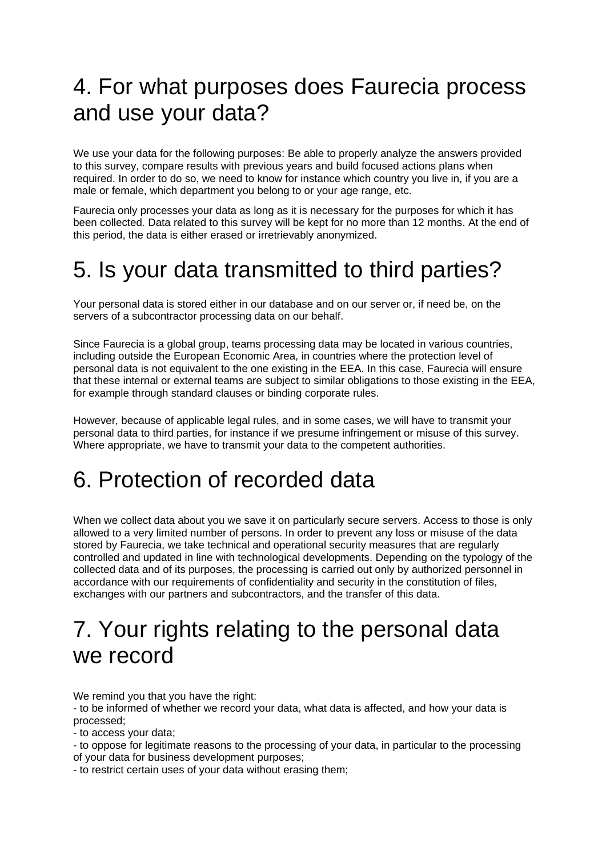## 4. For what purposes does Faurecia process and use your data?

We use your data for the following purposes: Be able to properly analyze the answers provided to this survey, compare results with previous years and build focused actions plans when required. In order to do so, we need to know for instance which country you live in, if you are a male or female, which department you belong to or your age range, etc.

Faurecia only processes your data as long as it is necessary for the purposes for which it has been collected. Data related to this survey will be kept for no more than 12 months. At the end of this period, the data is either erased or irretrievably anonymized.

#### 5. Is your data transmitted to third parties?

Your personal data is stored either in our database and on our server or, if need be, on the servers of a subcontractor processing data on our behalf.

Since Faurecia is a global group, teams processing data may be located in various countries, including outside the European Economic Area, in countries where the protection level of personal data is not equivalent to the one existing in the EEA. In this case, Faurecia will ensure that these internal or external teams are subject to similar obligations to those existing in the EEA, for example through standard clauses or binding corporate rules.

However, because of applicable legal rules, and in some cases, we will have to transmit your personal data to third parties, for instance if we presume infringement or misuse of this survey. Where appropriate, we have to transmit your data to the competent authorities.

# 6. Protection of recorded data

When we collect data about you we save it on particularly secure servers. Access to those is only allowed to a very limited number of persons. In order to prevent any loss or misuse of the data stored by Faurecia, we take technical and operational security measures that are regularly controlled and updated in line with technological developments. Depending on the typology of the collected data and of its purposes, the processing is carried out only by authorized personnel in accordance with our requirements of confidentiality and security in the constitution of files, exchanges with our partners and subcontractors, and the transfer of this data.

#### 7. Your rights relating to the personal data we record

We remind you that you have the right:

- to be informed of whether we record your data, what data is affected, and how your data is processed;

- to access your data;

- to oppose for legitimate reasons to the processing of your data, in particular to the processing of your data for business development purposes;

- to restrict certain uses of your data without erasing them;